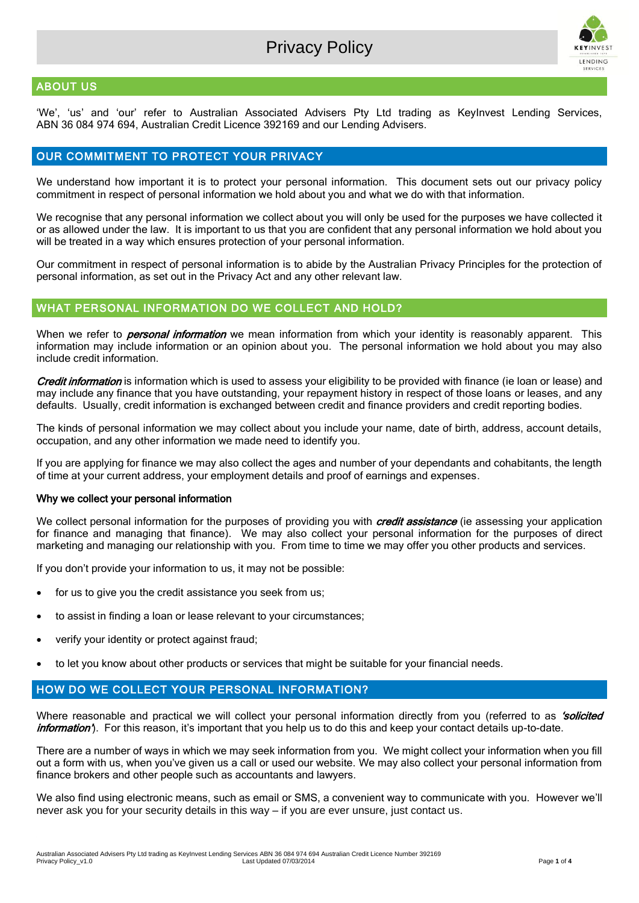

# ABOUT US

'We', 'us' and 'our' refer to Australian Associated Advisers Pty Ltd trading as KeyInvest Lending Services, ABN 36 084 974 694, Australian Credit Licence 392169 and our Lending Advisers.

## OUR COMMITMENT TO PROTECT YOUR PRIVACY

We understand how important it is to protect your personal information. This document sets out our privacy policy commitment in respect of personal information we hold about you and what we do with that information.

We recognise that any personal information we collect about you will only be used for the purposes we have collected it or as allowed under the law. It is important to us that you are confident that any personal information we hold about you will be treated in a way which ensures protection of your personal information.

Our commitment in respect of personal information is to abide by the Australian Privacy Principles for the protection of personal information, as set out in the Privacy Act and any other relevant law.

## WHAT PERSONAL INFORMATION DO WE COLLECT AND HOLD?

When we refer to *personal information* we mean information from which your identity is reasonably apparent. This information may include information or an opinion about you. The personal information we hold about you may also include credit information.

Credit information is information which is used to assess your eligibility to be provided with finance (ie loan or lease) and may include any finance that you have outstanding, your repayment history in respect of those loans or leases, and any defaults. Usually, credit information is exchanged between credit and finance providers and credit reporting bodies.

The kinds of personal information we may collect about you include your name, date of birth, address, account details, occupation, and any other information we made need to identify you.

If you are applying for finance we may also collect the ages and number of your dependants and cohabitants, the length of time at your current address, your employment details and proof of earnings and expenses.

#### Why we collect your personal information

We collect personal information for the purposes of providing you with credit assistance (ie assessing your application for finance and managing that finance). We may also collect your personal information for the purposes of direct marketing and managing our relationship with you. From time to time we may offer you other products and services.

If you don't provide your information to us, it may not be possible:

- for us to give you the credit assistance you seek from us;
- to assist in finding a loan or lease relevant to your circumstances;
- verify your identity or protect against fraud;
- to let you know about other products or services that might be suitable for your financial needs.

## HOW DO WE COLLECT YOUR PERSONAL INFORMATION?

Where reasonable and practical we will collect your personal information directly from you (referred to as 'solicited *information'*). For this reason, it's important that you help us to do this and keep your contact details up-to-date.

There are a number of ways in which we may seek information from you. We might collect your information when you fill out a form with us, when you've given us a call or used our website. We may also collect your personal information from finance brokers and other people such as accountants and lawyers.

We also find using electronic means, such as email or SMS, a convenient way to communicate with you. However we'll never ask you for your security details in this way – if you are ever unsure, just contact us.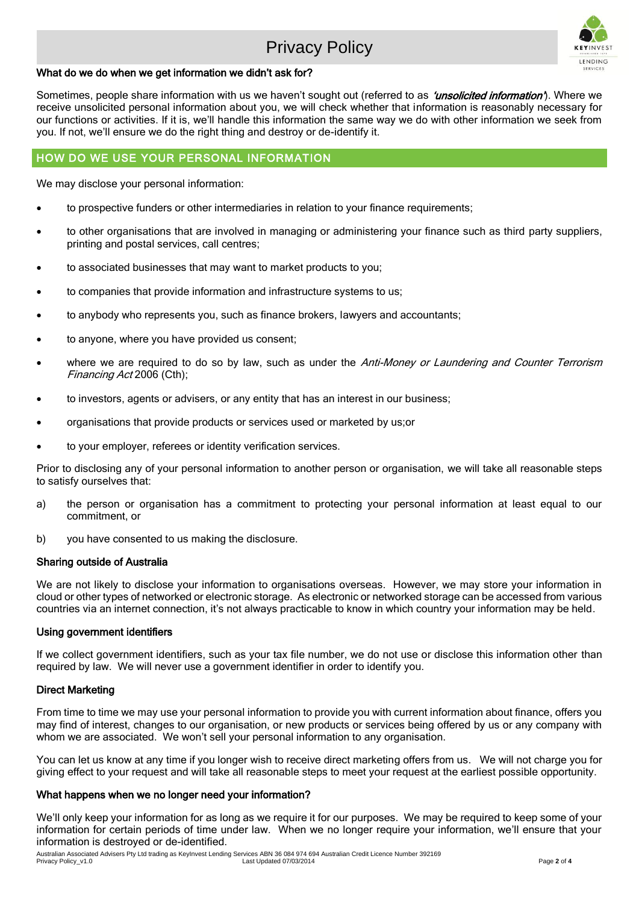# Privacy Policy



### What do we do when we get information we didn't ask for?

Sometimes, people share information with us we haven't sought out (referred to as 'unsolicited information'). Where we receive unsolicited personal information about you, we will check whether that information is reasonably necessary for our functions or activities. If it is, we'll handle this information the same way we do with other information we seek from you. If not, we'll ensure we do the right thing and destroy or de-identify it.

## HOW DO WE USE YOUR PERSONAL INFORMATION

We may disclose your personal information:

- to prospective funders or other intermediaries in relation to your finance requirements;
- to other organisations that are involved in managing or administering your finance such as third party suppliers, printing and postal services, call centres;
- to associated businesses that may want to market products to you;
- to companies that provide information and infrastructure systems to us;
- to anybody who represents you, such as finance brokers, lawyers and accountants;
- to anyone, where you have provided us consent;
- where we are required to do so by law, such as under the Anti-Money or Laundering and Counter Terrorism Financing Act 2006 (Cth);
- to investors, agents or advisers, or any entity that has an interest in our business;
- organisations that provide products or services used or marketed by us;or
- to your employer, referees or identity verification services.

Prior to disclosing any of your personal information to another person or organisation, we will take all reasonable steps to satisfy ourselves that:

- a) the person or organisation has a commitment to protecting your personal information at least equal to our commitment, or
- b) you have consented to us making the disclosure.

#### Sharing outside of Australia

We are not likely to disclose your information to organisations overseas. However, we may store your information in cloud or other types of networked or electronic storage. As electronic or networked storage can be accessed from various countries via an internet connection, it's not always practicable to know in which country your information may be held.

#### Using government identifiers

If we collect government identifiers, such as your tax file number, we do not use or disclose this information other than required by law. We will never use a government identifier in order to identify you.

#### Direct Marketing

From time to time we may use your personal information to provide you with current information about finance, offers you may find of interest, changes to our organisation, or new products or services being offered by us or any company with whom we are associated. We won't sell your personal information to any organisation.

You can let us know at any time if you longer wish to receive direct marketing offers from us. We will not charge vou for giving effect to your request and will take all reasonable steps to meet your request at the earliest possible opportunity.

#### What happens when we no longer need your information?

We'll only keep your information for as long as we require it for our purposes. We may be required to keep some of your information for certain periods of time under law. When we no longer require your information, we'll ensure that your information is destroyed or de-identified.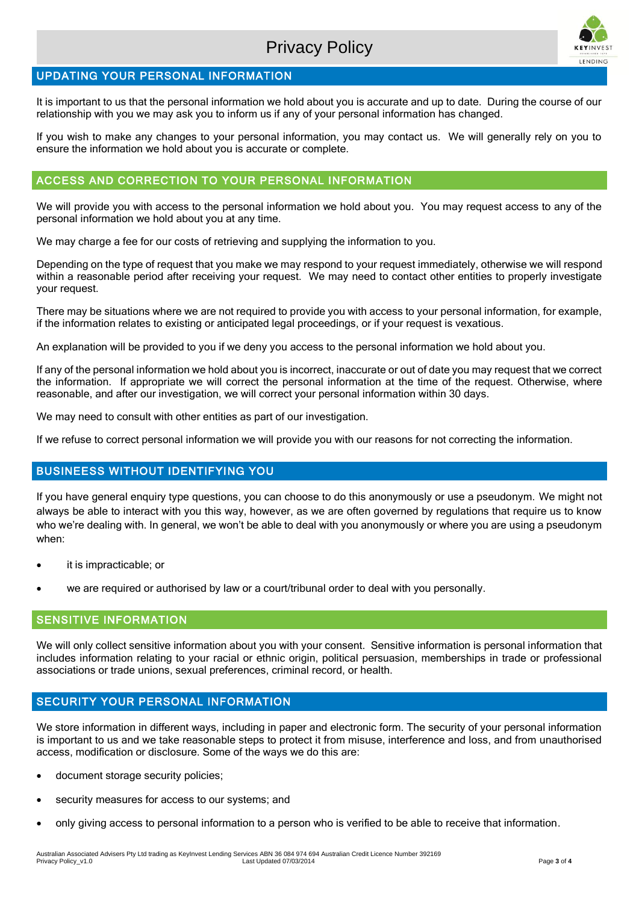

# UPDATING YOUR PERSONAL INFORMATION

It is important to us that the personal information we hold about you is accurate and up to date. During the course of our relationship with you we may ask you to inform us if any of your personal information has changed.

If you wish to make any changes to your personal information, you may contact us. We will generally rely on you to ensure the information we hold about you is accurate or complete.

# ACCESS AND CORRECTION TO YOUR PERSONAL INFORMATION

We will provide you with access to the personal information we hold about you. You may request access to any of the personal information we hold about you at any time.

We may charge a fee for our costs of retrieving and supplying the information to you.

Depending on the type of request that you make we may respond to your request immediately, otherwise we will respond within a reasonable period after receiving your request. We may need to contact other entities to properly investigate your request.

There may be situations where we are not required to provide you with access to your personal information, for example, if the information relates to existing or anticipated legal proceedings, or if your request is vexatious.

An explanation will be provided to you if we deny you access to the personal information we hold about you.

If any of the personal information we hold about you is incorrect, inaccurate or out of date you may request that we correct the information. If appropriate we will correct the personal information at the time of the request. Otherwise, where reasonable, and after our investigation, we will correct your personal information within 30 days.

We may need to consult with other entities as part of our investigation.

If we refuse to correct personal information we will provide you with our reasons for not correcting the information.

## BUSINEESS WITHOUT IDENTIFYING YOU

If you have general enquiry type questions, you can choose to do this anonymously or use a pseudonym. We might not always be able to interact with you this way, however, as we are often governed by regulations that require us to know who we're dealing with. In general, we won't be able to deal with you anonymously or where you are using a pseudonym when:

- it is impracticable; or
- we are required or authorised by law or a court/tribunal order to deal with you personally.

## SENSITIVE INFORMATION

We will only collect sensitive information about you with your consent. Sensitive information is personal information that includes information relating to your racial or ethnic origin, political persuasion, memberships in trade or professional associations or trade unions, sexual preferences, criminal record, or health.

# SECURITY YOUR PERSONAL INFORMATION

We store information in different ways, including in paper and electronic form. The security of your personal information is important to us and we take reasonable steps to protect it from misuse, interference and loss, and from unauthorised access, modification or disclosure. Some of the ways we do this are:

- document storage security policies;
- security measures for access to our systems; and
- only giving access to personal information to a person who is verified to be able to receive that information.